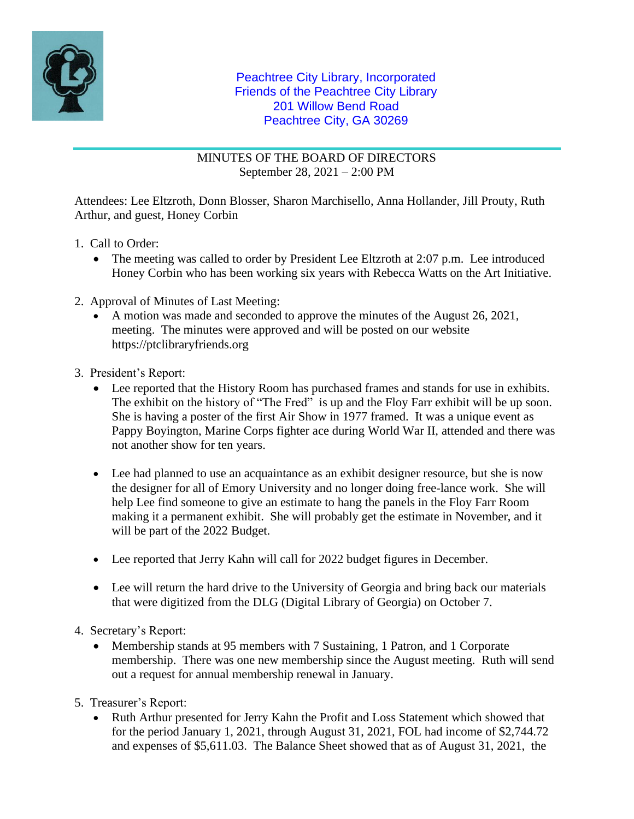

MINUTES OF THE BOARD OF DIRECTORS September 28, 2021 – 2:00 PM

Attendees: Lee Eltzroth, Donn Blosser, Sharon Marchisello, Anna Hollander, Jill Prouty, Ruth Arthur, and guest, Honey Corbin

- 1. Call to Order:
	- The meeting was called to order by President Lee Eltzroth at 2:07 p.m. Lee introduced Honey Corbin who has been working six years with Rebecca Watts on the Art Initiative.
- 2. Approval of Minutes of Last Meeting:
	- A motion was made and seconded to approve the minutes of the August 26, 2021, meeting. The minutes were approved and will be posted on our website https://ptclibraryfriends.org
- 3. President's Report:
	- Lee reported that the History Room has purchased frames and stands for use in exhibits. The exhibit on the history of "The Fred" is up and the Floy Farr exhibit will be up soon. She is having a poster of the first Air Show in 1977 framed. It was a unique event as Pappy Boyington, Marine Corps fighter ace during World War II, attended and there was not another show for ten years.
	- Lee had planned to use an acquaintance as an exhibit designer resource, but she is now the designer for all of Emory University and no longer doing free-lance work. She will help Lee find someone to give an estimate to hang the panels in the Floy Farr Room making it a permanent exhibit. She will probably get the estimate in November, and it will be part of the 2022 Budget.
	- Lee reported that Jerry Kahn will call for 2022 budget figures in December.
	- Lee will return the hard drive to the University of Georgia and bring back our materials that were digitized from the DLG (Digital Library of Georgia) on October 7.
- 4. Secretary's Report:
	- Membership stands at 95 members with 7 Sustaining, 1 Patron, and 1 Corporate membership. There was one new membership since the August meeting. Ruth will send out a request for annual membership renewal in January.
- 5. Treasurer's Report:
	- Ruth Arthur presented for Jerry Kahn the Profit and Loss Statement which showed that for the period January 1, 2021, through August 31, 2021, FOL had income of \$2,744.72 and expenses of \$5,611.03. The Balance Sheet showed that as of August 31, 2021, the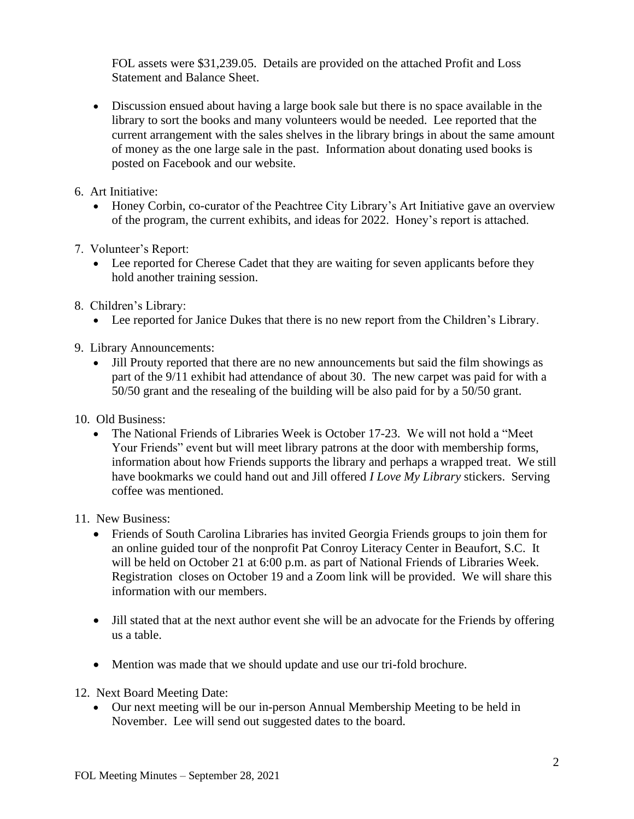FOL assets were \$31,239.05. Details are provided on the attached Profit and Loss Statement and Balance Sheet.

- Discussion ensued about having a large book sale but there is no space available in the library to sort the books and many volunteers would be needed. Lee reported that the current arrangement with the sales shelves in the library brings in about the same amount of money as the one large sale in the past. Information about donating used books is posted on Facebook and our website.
- 6. Art Initiative:
	- Honey Corbin, co-curator of the Peachtree City Library's Art Initiative gave an overview of the program, the current exhibits, and ideas for 2022. Honey's report is attached.
- 7. Volunteer's Report:
	- Lee reported for Cherese Cadet that they are waiting for seven applicants before they hold another training session.
- 8. Children's Library:
	- Lee reported for Janice Dukes that there is no new report from the Children's Library.
- 9. Library Announcements:
	- Jill Prouty reported that there are no new announcements but said the film showings as part of the 9/11 exhibit had attendance of about 30. The new carpet was paid for with a 50/50 grant and the resealing of the building will be also paid for by a 50/50 grant.
- 10. Old Business:
	- The National Friends of Libraries Week is October 17-23. We will not hold a "Meet" Your Friends" event but will meet library patrons at the door with membership forms, information about how Friends supports the library and perhaps a wrapped treat. We still have bookmarks we could hand out and Jill offered *I Love My Library* stickers. Serving coffee was mentioned.
- 11. New Business:
	- Friends of South Carolina Libraries has invited Georgia Friends groups to join them for an online guided tour of the nonprofit Pat Conroy Literacy Center in Beaufort, S.C. It will be held on October 21 at 6:00 p.m. as part of National Friends of Libraries Week. Registration closes on October 19 and a Zoom link will be provided. We will share this information with our members.
	- Jill stated that at the next author event she will be an advocate for the Friends by offering us a table.
	- Mention was made that we should update and use our tri-fold brochure.
- 12. Next Board Meeting Date:
	- Our next meeting will be our in-person Annual Membership Meeting to be held in November. Lee will send out suggested dates to the board.